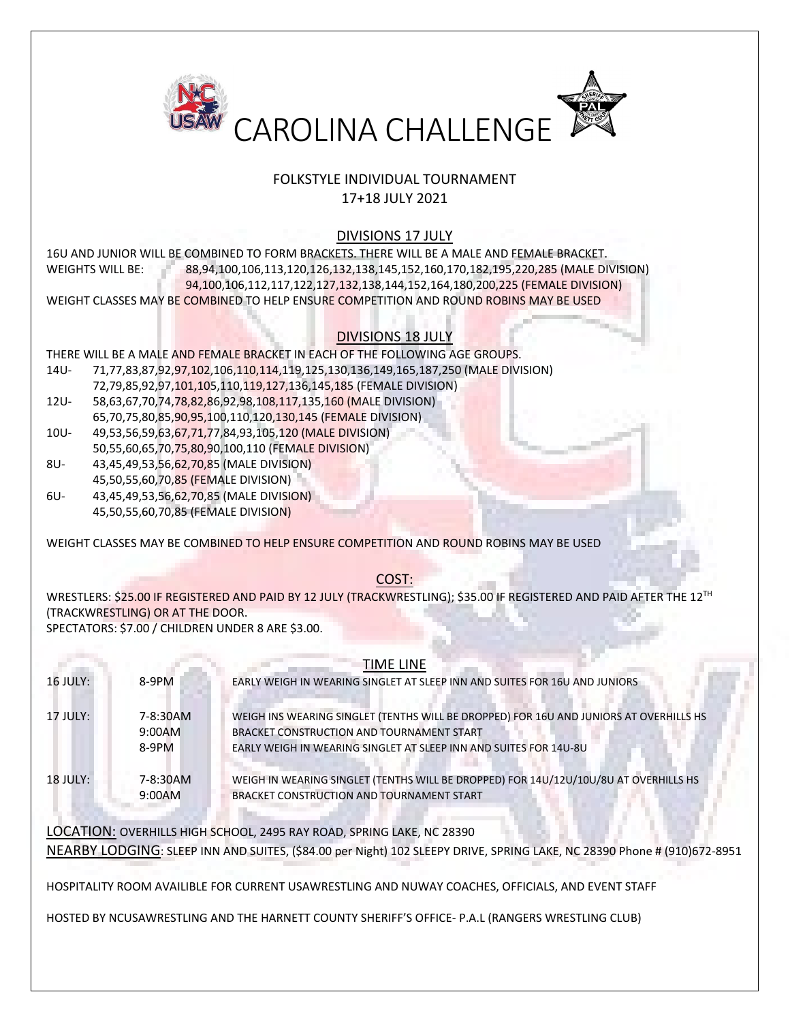

## FOLKSTYLE INDIVIDUAL TOURNAMENT 17+18 JULY 2021

## DIVISIONS 17 JULY

16U AND JUNIOR WILL BE COMBINED TO FORM BRACKETS. THERE WILL BE A MALE AND FEMALE BRACKET. WEIGHTS WILL BE: 88,94,100,106,113,120,126,132,138,145,152,160,170,182,195,220,285 (MALE DIVISION) 94,100,106,112,117,122,127,132,138,144,152,164,180,200,225 (FEMALE DIVISION) WEIGHT CLASSES MAY BE COMBINED TO HELP ENSURE COMPETITION AND ROUND ROBINS MAY BE USED

## DIVISIONS 18 JULY

THERE WILL BE A MALE AND FEMALE BRACKET IN EACH OF THE FOLLOWING AGE GROUPS.

- 14U- 71,77,83,87,92,97,102,106,110,114,119,125,130,136,149,165,187,250 (MALE DIVISION)
- 72,79,85,92,97,101,105,110,119,127,136,145,185 (FEMALE DIVISION)
- 12U- 58,63,67,70,74,78,82,86,92,98,108,117,135,160 (MALE DIVISION) 65,70,75,80,85,90,95,100,110,120,130,145 (FEMALE DIVISION)
- 10U- 49,53,56,59,63,67,71,77,84,93,105,120 (MALE DIVISION)
- 50,55,60,65,70,75,80,90,100,110 (FEMALE DIVISION) 8U- 43,45,49,53,56,62,70,85 (MALE DIVISION)
- 45,50,55,60,70,85 (FEMALE DIVISION)
- 6U- 43,45,49,53,56,62,70,85 (MALE DIVISION) 45,50,55,60,70,85 (FEMALE DIVISION)

WEIGHT CLASSES MAY BE COMBINED TO HELP ENSURE COMPETITION AND ROUND ROBINS MAY BE USED

## COST:

WRESTLERS: \$25.00 IF REGISTERED AND PAID BY 12 JULY (TRACKWRESTLING); \$35.00 IF REGISTERED AND PAID AFTER THE 12TH (TRACKWRESTLING) OR AT THE DOOR.

SPECTATORS: \$7.00 / CHILDREN UNDER 8 ARE \$3.00.

| $16$ JULY: | 8-9PM                       | <b>TIME LINE</b><br>EARLY WEIGH IN WEARING SINGLET AT SLEEP INN AND SUITES FOR 16U AND JUNIORS                                                                                                           |
|------------|-----------------------------|----------------------------------------------------------------------------------------------------------------------------------------------------------------------------------------------------------|
| 17 JULY:   | 7-8:30AM<br>9:00AM<br>8-9PM | WEIGH INS WEARING SINGLET (TENTHS WILL BE DROPPED) FOR 16U AND JUNIORS AT OVERHILLS HS<br>BRACKET CONSTRUCTION AND TOURNAMENT START<br>EARLY WEIGH IN WEARING SINGLET AT SLEEP INN AND SUITES FOR 14U-8U |
| $18$ JULY: | 7-8:30AM<br>9:00AM          | WEIGH IN WEARING SINGLET (TENTHS WILL BE DROPPED) FOR 14U/12U/10U/8U AT OVERHILLS HS<br>BRACKET CONSTRUCTION AND TOURNAMENT START                                                                        |

LOCATION: OVERHILLS HIGH SCHOOL, 2495 RAY ROAD, SPRING LAKE, NC 28390 NEARBY LODGING: SLEEP INN AND SUITES, (\$84.00 per Night) 102 SLEEPY DRIVE, SPRING LAKE, NC 28390 Phone # (910)672-8951

HOSPITALITY ROOM AVAILIBLE FOR CURRENT USAWRESTLING AND NUWAY COACHES, OFFICIALS, AND EVENT STAFF

HOSTED BY NCUSAWRESTLING AND THE HARNETT COUNTY SHERIFF'S OFFICE- P.A.L (RANGERS WRESTLING CLUB)